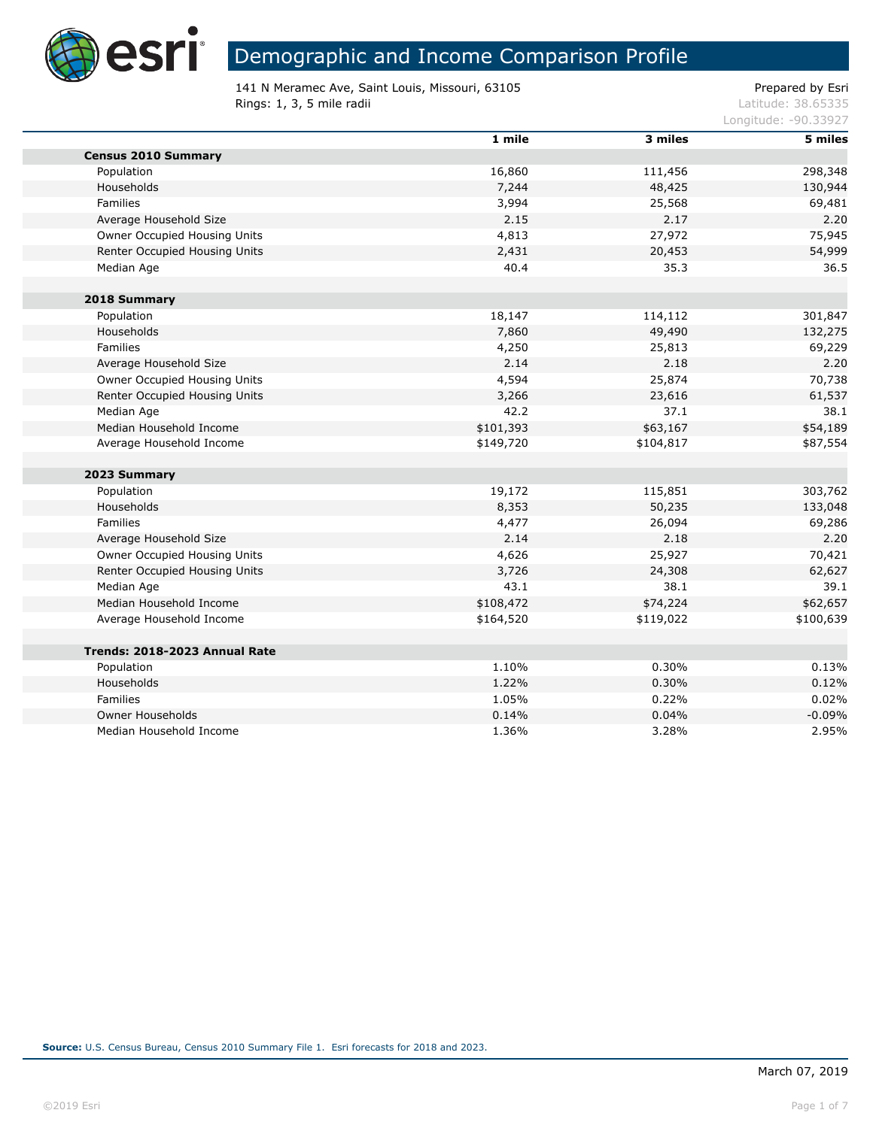

×

## Demographic and Income Comparison Profile

141 N Meramec Ave, Saint Louis, Missouri, 63105 extending the prepared by Esri **Rings: 1, 3, 5 mile radii** Latitude: 38.65335

|                               | 1 mile    | 3 miles   | 5 miles   |
|-------------------------------|-----------|-----------|-----------|
| <b>Census 2010 Summary</b>    |           |           |           |
| Population                    | 16,860    | 111,456   | 298,348   |
| Households                    | 7,244     | 48,425    | 130,944   |
| Families                      | 3,994     | 25,568    | 69,481    |
| Average Household Size        | 2.15      | 2.17      | 2.20      |
| Owner Occupied Housing Units  | 4,813     | 27,972    | 75,945    |
| Renter Occupied Housing Units | 2,431     | 20,453    | 54,999    |
| Median Age                    | 40.4      | 35.3      | 36.5      |
| 2018 Summary                  |           |           |           |
| Population                    | 18,147    | 114,112   | 301,847   |
| Households                    | 7,860     | 49,490    | 132,275   |
| Families                      | 4,250     | 25,813    | 69,229    |
| Average Household Size        | 2.14      | 2.18      | 2.20      |
| Owner Occupied Housing Units  | 4,594     | 25,874    | 70,738    |
| Renter Occupied Housing Units | 3,266     | 23,616    | 61,537    |
| Median Age                    | 42.2      | 37.1      | 38.1      |
| Median Household Income       | \$101,393 | \$63,167  | \$54,189  |
| Average Household Income      | \$149,720 | \$104,817 | \$87,554  |
| 2023 Summary                  |           |           |           |
| Population                    | 19,172    | 115,851   | 303,762   |
| Households                    | 8,353     | 50,235    | 133,048   |
| Families                      | 4,477     | 26,094    | 69,286    |
| Average Household Size        | 2.14      | 2.18      | 2.20      |
| Owner Occupied Housing Units  | 4,626     | 25,927    | 70,421    |
| Renter Occupied Housing Units | 3,726     | 24,308    | 62,627    |
| Median Age                    | 43.1      | 38.1      | 39.1      |
| Median Household Income       | \$108,472 | \$74,224  | \$62,657  |
| Average Household Income      | \$164,520 | \$119,022 | \$100,639 |
| Trends: 2018-2023 Annual Rate |           |           |           |
| Population                    | 1.10%     | 0.30%     | 0.13%     |
| Households                    | 1.22%     | 0.30%     | 0.12%     |
| Families                      | 1.05%     | 0.22%     | 0.02%     |
| Owner Households              | 0.14%     | 0.04%     | $-0.09%$  |
| Median Household Income       | 1.36%     | 3.28%     | 2.95%     |
|                               |           |           |           |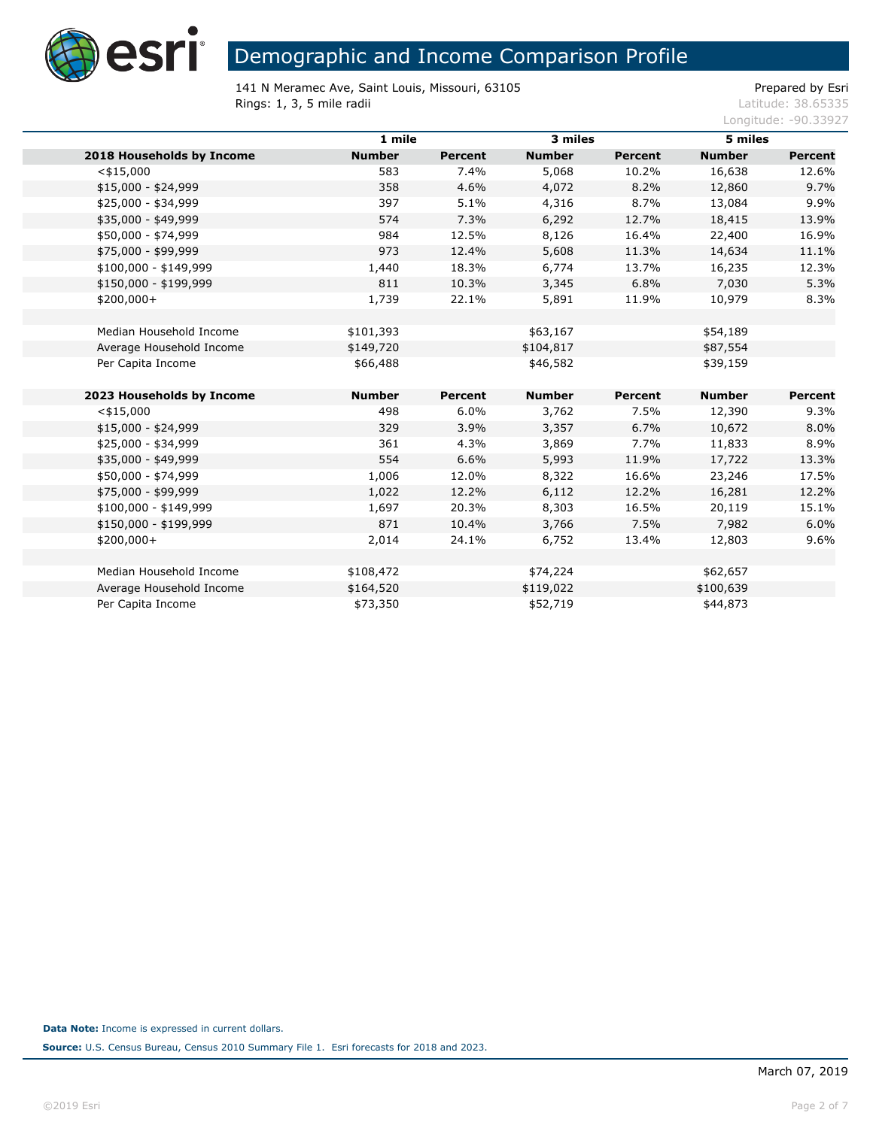

141 N Meramec Ave, Saint Louis, Missouri, 63105<br>
Rings: 1, 3, 5 mile radii etic adii etic adii etic adii etic adii etic adii etic adii etic adii etic adii etic Rings: 1, 3, 5 mile radii

|                           | 1 mile        |                | 3 miles       |                | 5 miles       |                |
|---------------------------|---------------|----------------|---------------|----------------|---------------|----------------|
| 2018 Households by Income | <b>Number</b> | <b>Percent</b> | <b>Number</b> | <b>Percent</b> | <b>Number</b> | <b>Percent</b> |
| $<$ \$15,000              | 583           | 7.4%           | 5,068         | 10.2%          | 16,638        | 12.6%          |
| $$15,000 - $24,999$       | 358           | 4.6%           | 4,072         | 8.2%           | 12,860        | 9.7%           |
| \$25,000 - \$34,999       | 397           | 5.1%           | 4,316         | 8.7%           | 13,084        | 9.9%           |
| \$35,000 - \$49,999       | 574           | 7.3%           | 6,292         | 12.7%          | 18,415        | 13.9%          |
| \$50,000 - \$74,999       | 984           | 12.5%          | 8,126         | 16.4%          | 22,400        | 16.9%          |
| \$75,000 - \$99,999       | 973           | 12.4%          | 5,608         | 11.3%          | 14,634        | 11.1%          |
| \$100,000 - \$149,999     | 1,440         | 18.3%          | 6,774         | 13.7%          | 16,235        | 12.3%          |
| \$150,000 - \$199,999     | 811           | 10.3%          | 3,345         | 6.8%           | 7,030         | 5.3%           |
| $$200,000+$               | 1,739         | 22.1%          | 5,891         | 11.9%          | 10,979        | 8.3%           |
|                           |               |                |               |                |               |                |
| Median Household Income   | \$101,393     |                | \$63,167      |                | \$54,189      |                |
| Average Household Income  | \$149,720     |                | \$104,817     |                | \$87,554      |                |
| Per Capita Income         | \$66,488      |                | \$46,582      |                | \$39,159      |                |
|                           |               |                |               |                |               |                |
| 2023 Households by Income | <b>Number</b> | <b>Percent</b> | <b>Number</b> | Percent        | <b>Number</b> | Percent        |
| $<$ \$15,000              | 498           | 6.0%           | 3,762         | 7.5%           | 12,390        | 9.3%           |
| $$15,000 - $24,999$       | 329           | 3.9%           | 3,357         | 6.7%           | 10,672        | 8.0%           |
| \$25,000 - \$34,999       | 361           | 4.3%           | 3,869         | 7.7%           | 11,833        | 8.9%           |
| \$35,000 - \$49,999       | 554           | 6.6%           | 5,993         | 11.9%          | 17,722        | 13.3%          |
| \$50,000 - \$74,999       | 1,006         | 12.0%          | 8,322         | 16.6%          | 23,246        | 17.5%          |
| \$75,000 - \$99,999       | 1,022         | 12.2%          | 6,112         | 12.2%          | 16,281        | 12.2%          |
| \$100,000 - \$149,999     | 1,697         | 20.3%          | 8,303         | 16.5%          | 20,119        | 15.1%          |
| \$150,000 - \$199,999     | 871           | 10.4%          | 3,766         | 7.5%           | 7,982         | 6.0%           |
| \$200,000+                | 2,014         | 24.1%          | 6,752         | 13.4%          | 12,803        | 9.6%           |
|                           |               |                |               |                |               |                |
| Median Household Income   | \$108,472     |                | \$74,224      |                | \$62,657      |                |
| Average Household Income  | \$164,520     |                | \$119,022     |                | \$100,639     |                |
| Per Capita Income         | \$73,350      |                | \$52,719      |                | \$44,873      |                |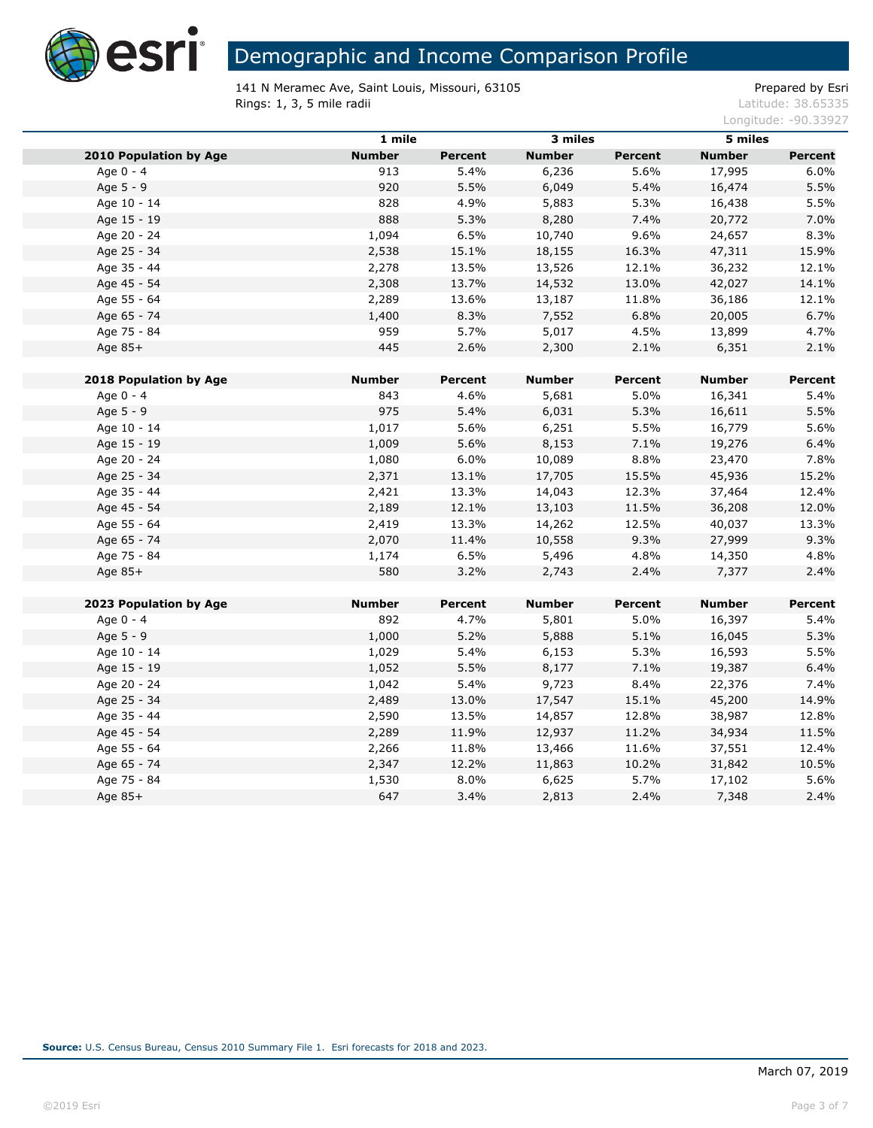

141 N Meramec Ave, Saint Louis, Missouri, 63105 extending the prepared by Esri **Rings: 1, 3, 5 mile radii** Latitude: 38.65335

|                               | 1 mile        |                | 3 miles       |                | 5 miles       |         |
|-------------------------------|---------------|----------------|---------------|----------------|---------------|---------|
| <b>2010 Population by Age</b> | <b>Number</b> | <b>Percent</b> | <b>Number</b> | <b>Percent</b> | <b>Number</b> | Percent |
| Age 0 - 4                     | 913           | 5.4%           | 6,236         | 5.6%           | 17,995        | 6.0%    |
| Age 5 - 9                     | 920           | 5.5%           | 6,049         | 5.4%           | 16,474        | 5.5%    |
| Age 10 - 14                   | 828           | 4.9%           | 5,883         | 5.3%           | 16,438        | 5.5%    |
| Age 15 - 19                   | 888           | 5.3%           | 8,280         | 7.4%           | 20,772        | 7.0%    |
| Age 20 - 24                   | 1,094         | 6.5%           | 10,740        | 9.6%           | 24,657        | 8.3%    |
| Age 25 - 34                   | 2,538         | 15.1%          | 18,155        | 16.3%          | 47,311        | 15.9%   |
| Age 35 - 44                   | 2,278         | 13.5%          | 13,526        | 12.1%          | 36,232        | 12.1%   |
| Age 45 - 54                   | 2,308         | 13.7%          | 14,532        | 13.0%          | 42,027        | 14.1%   |
| Age 55 - 64                   | 2,289         | 13.6%          | 13,187        | 11.8%          | 36,186        | 12.1%   |
| Age 65 - 74                   | 1,400         | 8.3%           | 7,552         | 6.8%           | 20,005        | 6.7%    |
| Age 75 - 84                   | 959           | 5.7%           | 5,017         | 4.5%           | 13,899        | 4.7%    |
| Age 85+                       | 445           | 2.6%           | 2,300         | 2.1%           | 6,351         | 2.1%    |
| 2018 Population by Age        | <b>Number</b> | Percent        | <b>Number</b> | Percent        | Number        | Percent |
| Age 0 - 4                     | 843           | 4.6%           | 5,681         | 5.0%           | 16,341        | 5.4%    |
| Age 5 - 9                     | 975           | 5.4%           | 6,031         | 5.3%           | 16,611        | 5.5%    |
| Age 10 - 14                   | 1,017         | 5.6%           | 6,251         | 5.5%           | 16,779        | 5.6%    |
| Age 15 - 19                   | 1,009         | 5.6%           | 8,153         | 7.1%           | 19,276        | 6.4%    |
| Age 20 - 24                   | 1,080         | 6.0%           | 10,089        | 8.8%           | 23,470        | 7.8%    |
| Age 25 - 34                   | 2,371         | 13.1%          | 17,705        | 15.5%          | 45,936        | 15.2%   |
| Age 35 - 44                   | 2,421         | 13.3%          | 14,043        | 12.3%          | 37,464        | 12.4%   |
| Age 45 - 54                   | 2,189         | 12.1%          | 13,103        | 11.5%          | 36,208        | 12.0%   |
| Age 55 - 64                   | 2,419         | 13.3%          | 14,262        | 12.5%          | 40,037        | 13.3%   |
| Age 65 - 74                   | 2,070         | 11.4%          | 10,558        | 9.3%           | 27,999        | 9.3%    |
| Age 75 - 84                   | 1,174         | 6.5%           | 5,496         | 4.8%           | 14,350        | 4.8%    |
| Age 85+                       | 580           | 3.2%           | 2,743         | 2.4%           | 7,377         | 2.4%    |
| 2023 Population by Age        | <b>Number</b> | Percent        | <b>Number</b> | Percent        | <b>Number</b> | Percent |
| Age 0 - 4                     | 892           | 4.7%           | 5,801         | 5.0%           | 16,397        | 5.4%    |
| Age 5 - 9                     | 1,000         | 5.2%           | 5,888         | 5.1%           | 16,045        | 5.3%    |
| Age 10 - 14                   | 1,029         | 5.4%           | 6,153         | 5.3%           | 16,593        | 5.5%    |
| Age 15 - 19                   | 1,052         | 5.5%           | 8,177         | 7.1%           | 19,387        | 6.4%    |
| Age 20 - 24                   | 1,042         | 5.4%           | 9,723         | 8.4%           | 22,376        | 7.4%    |
| Age 25 - 34                   | 2,489         | 13.0%          | 17,547        | 15.1%          | 45,200        | 14.9%   |
| Age 35 - 44                   | 2,590         | 13.5%          | 14,857        | 12.8%          | 38,987        | 12.8%   |
| Age 45 - 54                   | 2,289         | 11.9%          | 12,937        | 11.2%          | 34,934        | 11.5%   |
| Age 55 - 64                   | 2,266         | 11.8%          | 13,466        | 11.6%          | 37,551        | 12.4%   |
| Age 65 - 74                   | 2,347         | 12.2%          | 11,863        | 10.2%          | 31,842        | 10.5%   |
| Age 75 - 84                   | 1,530         | 8.0%           | 6,625         | 5.7%           | 17,102        | 5.6%    |
| Age 85+                       | 647           | 3.4%           | 2,813         | 2.4%           | 7,348         | 2.4%    |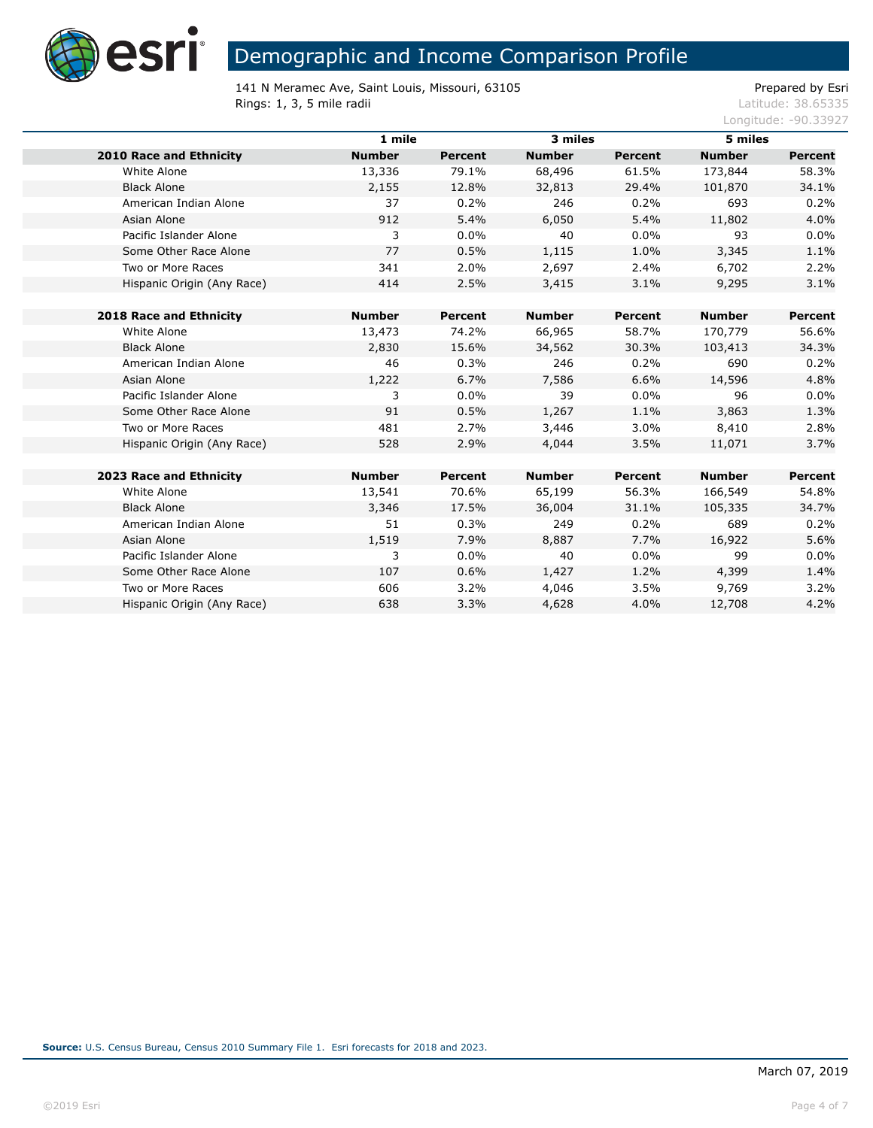

141 N Meramec Ave, Saint Louis, Missouri, 63105<br>
Rings: 1, 3, 5 mile radii etic adii etic adii etic adii etic adii etic adii etic adii etic adii etic adii etic Rings: 1, 3, 5 mile radii

|                                | 1 mile        |                | 3 miles       |                | 5 miles       |                |
|--------------------------------|---------------|----------------|---------------|----------------|---------------|----------------|
| <b>2010 Race and Ethnicity</b> | <b>Number</b> | <b>Percent</b> | <b>Number</b> | <b>Percent</b> | <b>Number</b> | <b>Percent</b> |
| White Alone                    | 13,336        | 79.1%          | 68,496        | 61.5%          | 173,844       | 58.3%          |
| <b>Black Alone</b>             | 2,155         | 12.8%          | 32,813        | 29.4%          | 101,870       | 34.1%          |
| American Indian Alone          | 37            | 0.2%           | 246           | 0.2%           | 693           | 0.2%           |
| Asian Alone                    | 912           | 5.4%           | 6,050         | 5.4%           | 11,802        | 4.0%           |
| Pacific Islander Alone         | 3             | 0.0%           | 40            | 0.0%           | 93            | 0.0%           |
| Some Other Race Alone          | 77            | 0.5%           | 1,115         | 1.0%           | 3,345         | 1.1%           |
| Two or More Races              | 341           | 2.0%           | 2,697         | 2.4%           | 6,702         | 2.2%           |
| Hispanic Origin (Any Race)     | 414           | 2.5%           | 3,415         | 3.1%           | 9,295         | 3.1%           |
|                                |               |                |               |                |               |                |
| 2018 Race and Ethnicity        | <b>Number</b> | Percent        | <b>Number</b> | Percent        | <b>Number</b> | <b>Percent</b> |
| White Alone                    | 13,473        | 74.2%          | 66,965        | 58.7%          | 170,779       | 56.6%          |
| <b>Black Alone</b>             | 2,830         | 15.6%          | 34,562        | 30.3%          | 103,413       | 34.3%          |
| American Indian Alone          | 46            | 0.3%           | 246           | 0.2%           | 690           | 0.2%           |
| Asian Alone                    | 1,222         | 6.7%           | 7,586         | 6.6%           | 14,596        | 4.8%           |
| Pacific Islander Alone         | 3             | $0.0\%$        | 39            | 0.0%           | 96            | 0.0%           |
| Some Other Race Alone          | 91            | 0.5%           | 1,267         | 1.1%           | 3,863         | 1.3%           |
| Two or More Races              | 481           | 2.7%           | 3,446         | 3.0%           | 8,410         | 2.8%           |
| Hispanic Origin (Any Race)     | 528           | 2.9%           | 4,044         | 3.5%           | 11,071        | 3.7%           |
|                                |               |                |               |                |               |                |
| 2023 Race and Ethnicity        | <b>Number</b> | Percent        | <b>Number</b> | Percent        | <b>Number</b> | <b>Percent</b> |
| White Alone                    | 13,541        | 70.6%          | 65,199        | 56.3%          | 166,549       | 54.8%          |
| <b>Black Alone</b>             | 3,346         | 17.5%          | 36,004        | 31.1%          | 105,335       | 34.7%          |
| American Indian Alone          | 51            | 0.3%           | 249           | 0.2%           | 689           | 0.2%           |
| Asian Alone                    | 1,519         | 7.9%           | 8,887         | 7.7%           | 16,922        | 5.6%           |
| Pacific Islander Alone         | 3             | $0.0\%$        | 40            | 0.0%           | 99            | 0.0%           |
| Some Other Race Alone          | 107           | 0.6%           | 1,427         | 1.2%           | 4,399         | 1.4%           |
| Two or More Races              | 606           | 3.2%           | 4,046         | 3.5%           | 9,769         | 3.2%           |
| Hispanic Origin (Any Race)     | 638           | 3.3%           | 4,628         | 4.0%           | 12,708        | 4.2%           |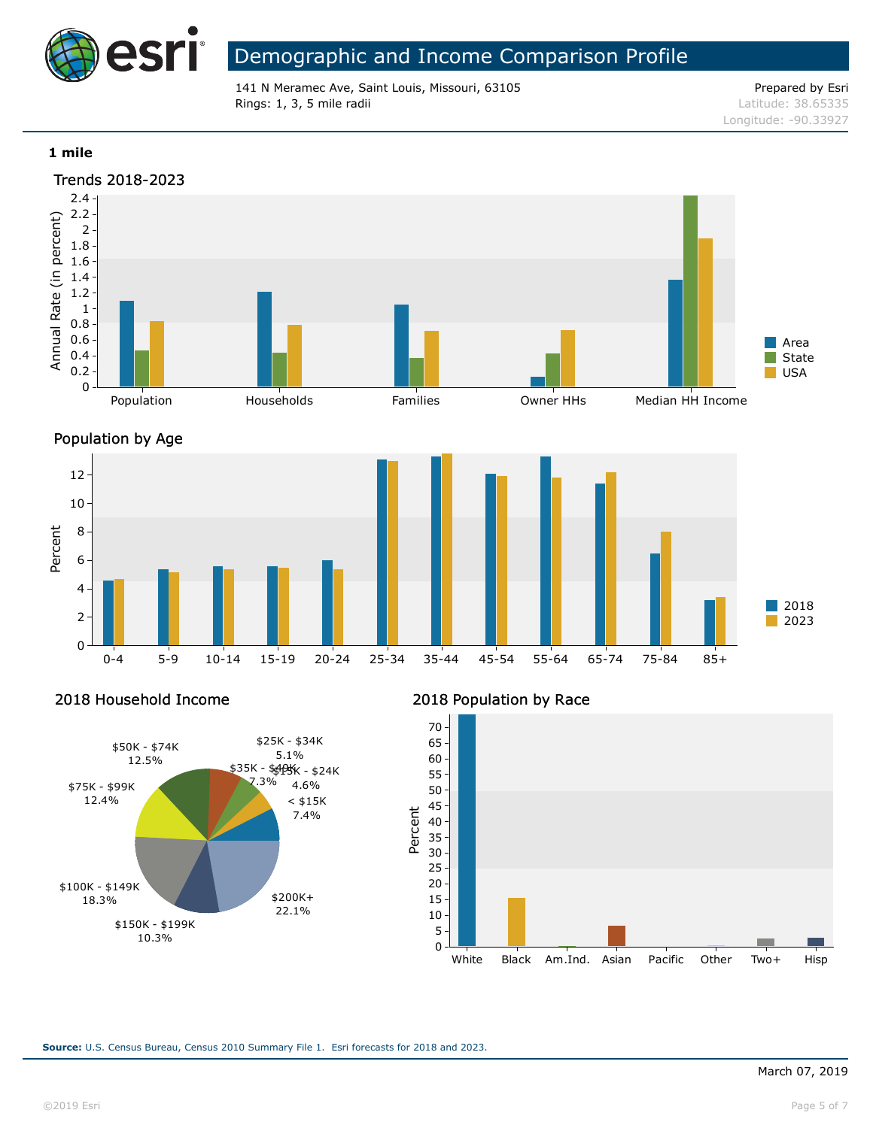

141 N Meramec Ave, Saint Louis, Missouri, 63105 Prepared by Esri **Rings: 1, 3, 5 mile radii** Latitude: 38.65335

Longitude: -90.33927

#### **1 mile**





Percent

## 2018 Household Income



### 2018 Population by Race

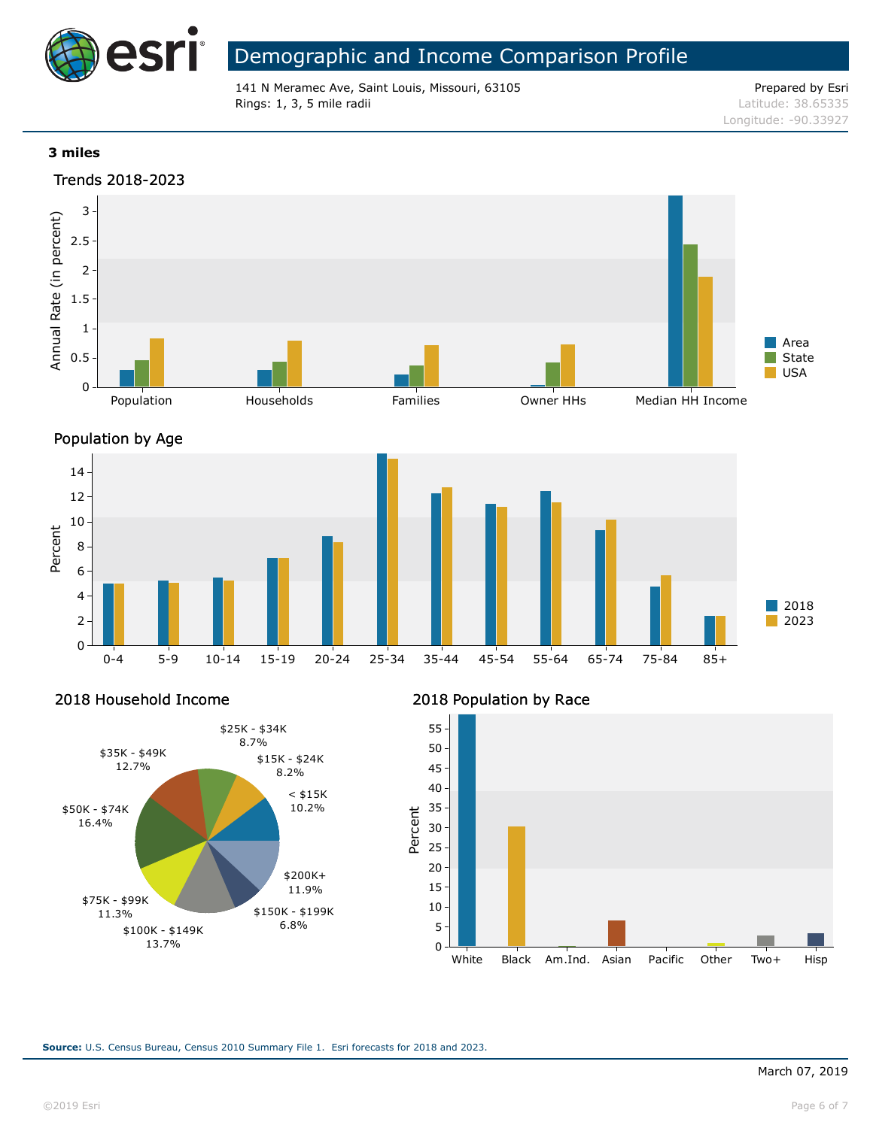

141 N Meramec Ave, Saint Louis, Missouri, 63105 Prepared by Esri **Rings: 1, 3, 5 mile radii** Latitude: 38.65335

Longitude: -90.33927

### **3 miles**





2018 Household Income



### 2018 Population by Race